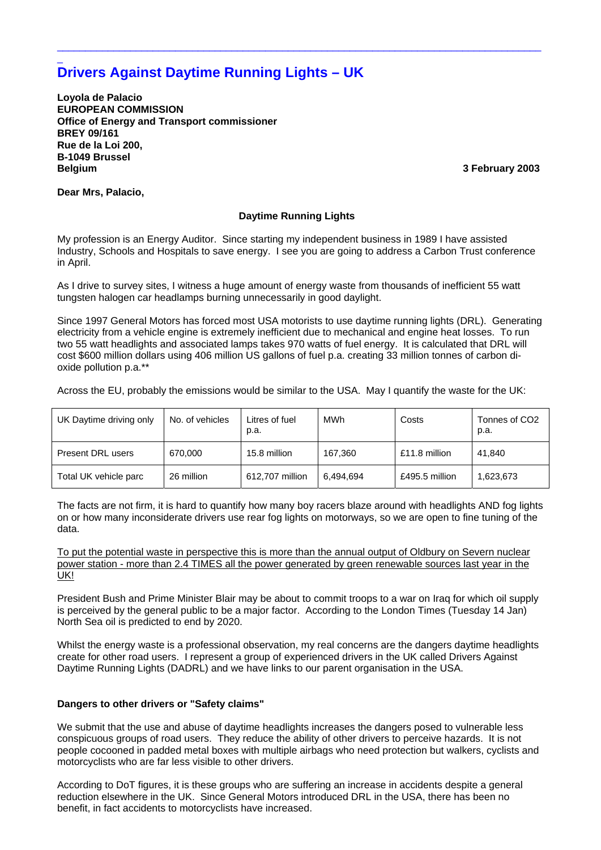# **Drivers Against Daytime Running Lights – UK**

**Loyola de Palacio EUROPEAN COMMISSION Office of Energy and Transport commissioner BREY 09/161 Rue de la Loi 200, B-1049 Brussel Belgium 3 February 2003**

**Dear Mrs, Palacio,** 

\_

# **Daytime Running Lights**

 $\_$  ,  $\_$  ,  $\_$  ,  $\_$  ,  $\_$  ,  $\_$  ,  $\_$  ,  $\_$  ,  $\_$  ,  $\_$  ,  $\_$  ,  $\_$  ,  $\_$  ,  $\_$  ,  $\_$  ,  $\_$  ,  $\_$  ,  $\_$  ,  $\_$  ,  $\_$  ,  $\_$  ,  $\_$  ,  $\_$  ,  $\_$  ,  $\_$  ,  $\_$  ,  $\_$  ,  $\_$  ,  $\_$  ,  $\_$  ,  $\_$  ,  $\_$  ,  $\_$  ,  $\_$  ,  $\_$  ,  $\_$  ,  $\_$  ,

My profession is an Energy Auditor. Since starting my independent business in 1989 I have assisted Industry, Schools and Hospitals to save energy. I see you are going to address a Carbon Trust conference in April.

As I drive to survey sites, I witness a huge amount of energy waste from thousands of inefficient 55 watt tungsten halogen car headlamps burning unnecessarily in good daylight.

Since 1997 General Motors has forced most USA motorists to use daytime running lights (DRL). Generating electricity from a vehicle engine is extremely inefficient due to mechanical and engine heat losses. To run two 55 watt headlights and associated lamps takes 970 watts of fuel energy. It is calculated that DRL will cost \$600 million dollars using 406 million US gallons of fuel p.a. creating 33 million tonnes of carbon dioxide pollution p.a.\*\*

Across the EU, probably the emissions would be similar to the USA. May I quantify the waste for the UK:

| UK Daytime driving only | No. of vehicles | Litres of fuel<br>p.a. | MWh       | Costs          | Tonnes of CO2<br>p.a. |
|-------------------------|-----------------|------------------------|-----------|----------------|-----------------------|
| Present DRL users       | 670.000         | 15.8 million           | 167.360   | £11.8 million  | 41.840                |
| Total UK vehicle parc   | 26 million      | 612,707 million        | 6.494.694 | £495.5 million | 1.623.673             |

The facts are not firm, it is hard to quantify how many boy racers blaze around with headlights AND fog lights on or how many inconsiderate drivers use rear fog lights on motorways, so we are open to fine tuning of the data.

To put the potential waste in perspective this is more than the annual output of Oldbury on Severn nuclear power station - more than 2.4 TIMES all the power generated by green renewable sources last year in the UK!

President Bush and Prime Minister Blair may be about to commit troops to a war on Iraq for which oil supply is perceived by the general public to be a major factor. According to the London Times (Tuesday 14 Jan) North Sea oil is predicted to end by 2020.

Whilst the energy waste is a professional observation, my real concerns are the dangers daytime headlights create for other road users. I represent a group of experienced drivers in the UK called Drivers Against Daytime Running Lights (DADRL) and we have links to our parent organisation in the USA.

# **Dangers to other drivers or "Safety claims"**

We submit that the use and abuse of daytime headlights increases the dangers posed to vulnerable less conspicuous groups of road users. They reduce the ability of other drivers to perceive hazards. It is not people cocooned in padded metal boxes with multiple airbags who need protection but walkers, cyclists and motorcyclists who are far less visible to other drivers.

According to DoT figures, it is these groups who are suffering an increase in accidents despite a general reduction elsewhere in the UK. Since General Motors introduced DRL in the USA, there has been no benefit, in fact accidents to motorcyclists have increased.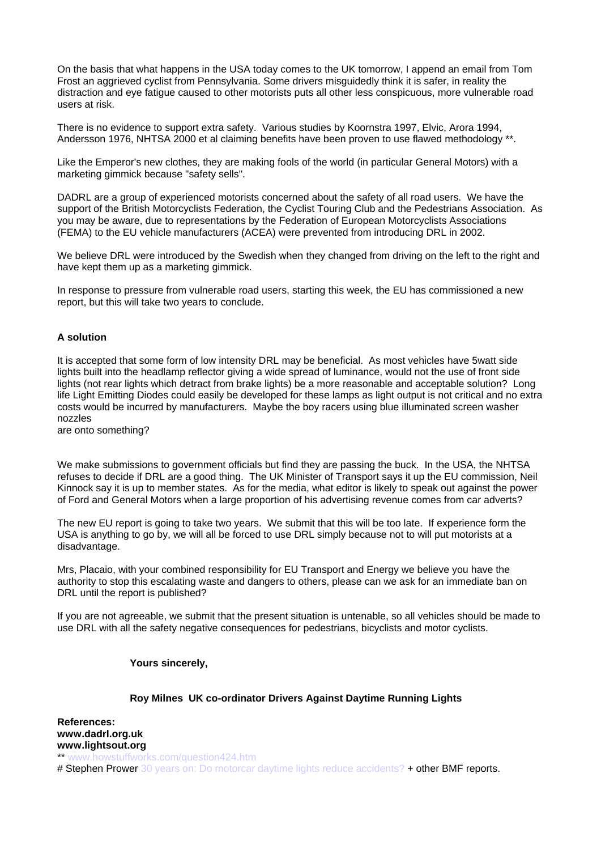On the basis that what happens in the USA today comes to the UK tomorrow, I append an email from Tom Frost an aggrieved cyclist from Pennsylvania. Some drivers misguidedly think it is safer, in reality the distraction and eye fatigue caused to other motorists puts all other less conspicuous, more vulnerable road users at risk.

There is no evidence to support extra safety. Various studies by Koornstra 1997, Elvic, Arora 1994, Andersson 1976, NHTSA 2000 et al claiming benefits have been proven to use flawed methodology \*\*.

Like the Emperor's new clothes, they are making fools of the world (in particular General Motors) with a marketing gimmick because "safety sells".

DADRL are a group of experienced motorists concerned about the safety of all road users. We have the support of the British Motorcyclists Federation, the Cyclist Touring Club and the Pedestrians Association. As you may be aware, due to representations by the Federation of European Motorcyclists Associations (FEMA) to the EU vehicle manufacturers (ACEA) were prevented from introducing DRL in 2002.

We believe DRL were introduced by the Swedish when they changed from driving on the left to the right and have kept them up as a marketing gimmick.

In response to pressure from vulnerable road users, starting this week, the EU has commissioned a new report, but this will take two years to conclude.

# **A solution**

It is accepted that some form of low intensity DRL may be beneficial. As most vehicles have 5watt side lights built into the headlamp reflector giving a wide spread of luminance, would not the use of front side lights (not rear lights which detract from brake lights) be a more reasonable and acceptable solution? Long life Light Emitting Diodes could easily be developed for these lamps as light output is not critical and no extra costs would be incurred by manufacturers. Maybe the boy racers using blue illuminated screen washer nozzles

are onto something?

We make submissions to government officials but find they are passing the buck. In the USA, the NHTSA refuses to decide if DRL are a good thing. The UK Minister of Transport says it up the EU commission, Neil Kinnock say it is up to member states. As for the media, what editor is likely to speak out against the power of Ford and General Motors when a large proportion of his advertising revenue comes from car adverts?

The new EU report is going to take two years. We submit that this will be too late. If experience form the USA is anything to go by, we will all be forced to use DRL simply because not to will put motorists at a disadvantage.

Mrs, Placaio, with your combined responsibility for EU Transport and Energy we believe you have the authority to stop this escalating waste and dangers to others, please can we ask for an immediate ban on DRL until the report is published?

If you are not agreeable, we submit that the present situation is untenable, so all vehicles should be made to use DRL with all the safety negative consequences for pedestrians, bicyclists and motor cyclists.

#### **Yours sincerely,**

#### **Roy Milnes UK co-ordinator Drivers Against Daytime Running Lights**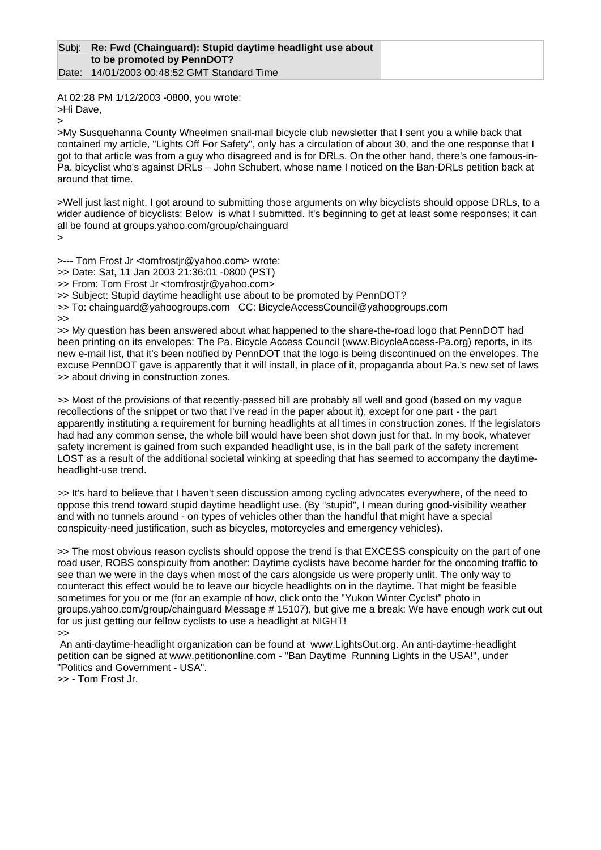#### Subj: **Re: Fwd (Chainguard): Stupid daytime headlight use about to be promoted by PennDOT?**  Date: 14/01/2003 00:48:52 GMT Standard Time

At 02:28 PM 1/12/2003 -0800, you wrote: >Hi Dave,

>

>My Susquehanna County Wheelmen snail-mail bicycle club newsletter that I sent you a while back that contained my article, "Lights Off For Safety", only has a circulation of about 30, and the one response that I got to that article was from a guy who disagreed and is for DRLs. On the other hand, there's one famous-in-Pa. bicyclist who's against DRLs – John Schubert, whose name I noticed on the Ban-DRLs petition back at around that time.

>Well just last night, I got around to submitting those arguments on why bicyclists should oppose DRLs, to a wider audience of bicyclists: Below is what I submitted. It's beginning to get at least some responses; it can all be found at groups.yahoo.com/group/chainguard

>

>--- Tom Frost Jr <tomfrostjr@yahoo.com> wrote:

>> Date: Sat, 11 Jan 2003 21:36:01 -0800 (PST)

>> From: Tom Frost Jr <tomfrostjr@yahoo.com>

>> Subject: Stupid daytime headlight use about to be promoted by PennDOT?

>> To: chainguard@yahoogroups.com CC: BicycleAccessCouncil@yahoogroups.com

>>

>> My question has been answered about what happened to the share-the-road logo that PennDOT had been printing on its envelopes: The Pa. Bicycle Access Council (www.BicycleAccess-Pa.org) reports, in its new e-mail list, that it's been notified by PennDOT that the logo is being discontinued on the envelopes. The excuse PennDOT gave is apparently that it will install, in place of it, propaganda about Pa.'s new set of laws >> about driving in construction zones.

>> Most of the provisions of that recently-passed bill are probably all well and good (based on my vague recollections of the snippet or two that I've read in the paper about it), except for one part - the part apparently instituting a requirement for burning headlights at all times in construction zones. If the legislators had had any common sense, the whole bill would have been shot down just for that. In my book, whatever safety increment is gained from such expanded headlight use, is in the ball park of the safety increment LOST as a result of the additional societal winking at speeding that has seemed to accompany the daytimeheadlight-use trend.

>> It's hard to believe that I haven't seen discussion among cycling advocates everywhere, of the need to oppose this trend toward stupid daytime headlight use. (By "stupid", I mean during good-visibility weather and with no tunnels around - on types of vehicles other than the handful that might have a special conspicuity-need justification, such as bicycles, motorcycles and emergency vehicles).

>> The most obvious reason cyclists should oppose the trend is that EXCESS conspicuity on the part of one road user, ROBS conspicuity from another: Daytime cyclists have become harder for the oncoming traffic to see than we were in the days when most of the cars alongside us were properly unlit. The only way to counteract this effect would be to leave our bicycle headlights on in the daytime. That might be feasible sometimes for you or me (for an example of how, click onto the "Yukon Winter Cyclist" photo in groups.yahoo.com/group/chainguard Message # 15107), but give me a break: We have enough work cut out for us just getting our fellow cyclists to use a headlight at NIGHT!

>>

 An anti-daytime-headlight organization can be found at www.LightsOut.org. An anti-daytime-headlight petition can be signed at www.petitiononline.com - "Ban Daytime Running Lights in the USA!", under "Politics and Government - USA".

>> - Tom Frost Jr.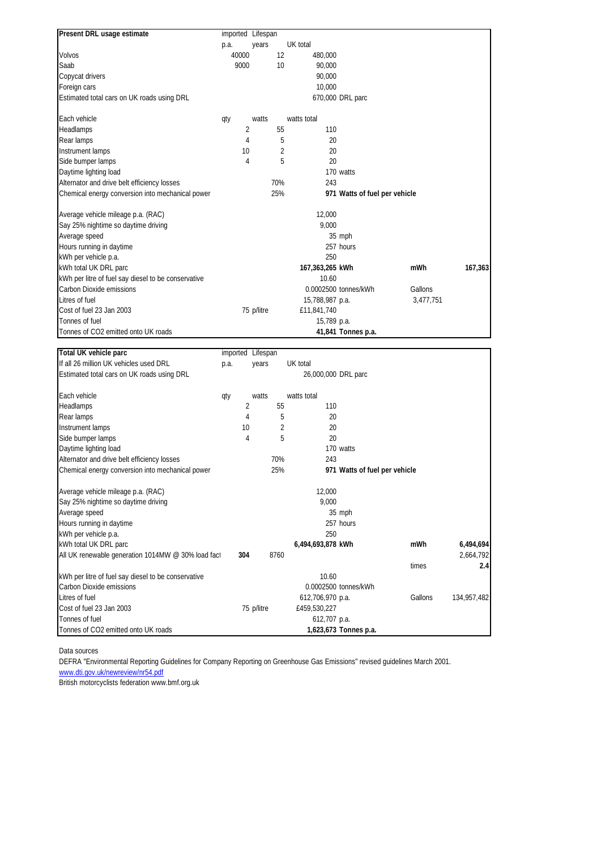| Present DRL usage estimate                          | imported Lifespan |            |     |                 |                               |           |         |
|-----------------------------------------------------|-------------------|------------|-----|-----------------|-------------------------------|-----------|---------|
|                                                     | p.a.              | years      |     | UK total        |                               |           |         |
| Volvos                                              | 40000             |            | 12  | 480,000         |                               |           |         |
| Saab                                                | 9000              |            | 10  | 90.000          |                               |           |         |
| Copycat drivers                                     |                   |            |     | 90.000          |                               |           |         |
| Foreign cars                                        |                   |            |     | 10,000          |                               |           |         |
| Estimated total cars on UK roads using DRL          |                   |            |     |                 | 670,000 DRL parc              |           |         |
| Each vehicle                                        | qty               | watts      |     | watts total     |                               |           |         |
| Headlamps                                           | 2                 |            | 55  | 110             |                               |           |         |
| Rear lamps                                          | 4                 |            | 5   | 20              |                               |           |         |
| Instrument lamps                                    | 10                |            | 2   | 20              |                               |           |         |
| Side bumper lamps                                   | 4                 |            | 5   | 20              |                               |           |         |
| Daytime lighting load                               |                   |            |     |                 | 170 watts                     |           |         |
| Alternator and drive belt efficiency losses         |                   |            | 70% | 243             |                               |           |         |
| Chemical energy conversion into mechanical power    |                   |            | 25% |                 | 971 Watts of fuel per vehicle |           |         |
| Average vehicle mileage p.a. (RAC)                  |                   |            |     | 12.000          |                               |           |         |
| Say 25% nightime so daytime driving                 |                   |            |     | 9.000           |                               |           |         |
| Average speed                                       |                   |            |     |                 | 35 mph                        |           |         |
| Hours running in daytime                            |                   |            |     |                 | 257 hours                     |           |         |
| kWh per vehicle p.a.                                |                   |            |     | 250             |                               |           |         |
| kWh total UK DRL parc                               |                   |            |     | 167,363,265 kWh |                               | mWh       | 167,363 |
| kWh per litre of fuel say diesel to be conservative |                   |            |     | 10.60           |                               |           |         |
| Carbon Dioxide emissions                            |                   |            |     |                 | 0.0002500 tonnes/kWh          | Gallons   |         |
| Litres of fuel                                      |                   |            |     | 15,788,987 p.a. |                               | 3,477,751 |         |
| Cost of fuel 23 Jan 2003                            |                   | 75 p/litre |     | £11,841,740     |                               |           |         |
| Tonnes of fuel                                      |                   |            |     | 15,789 p.a.     |                               |           |         |
| Tonnes of CO2 emitted onto UK roads                 |                   |            |     |                 | 41,841 Tonnes p.a.            |           |         |

| Total UK vehicle parc                               | imported Lifespan |            |      |                     |                               |         |             |
|-----------------------------------------------------|-------------------|------------|------|---------------------|-------------------------------|---------|-------------|
| If all 26 million UK vehicles used DRL              | p.a.              | years      |      | UK total            |                               |         |             |
| Estimated total cars on UK roads using DRL          |                   |            |      | 26,000,000 DRL parc |                               |         |             |
| Each vehicle                                        | qty               | watts      |      | watts total         |                               |         |             |
| Headlamps                                           |                   | 2          | 55   | 110                 |                               |         |             |
| Rear lamps                                          |                   | 4          | 5    | 20                  |                               |         |             |
| Instrument lamps                                    |                   | 10         | 2    | 20                  |                               |         |             |
| Side bumper lamps                                   |                   | 4          | 5    | 20                  |                               |         |             |
| Daytime lighting load                               |                   |            |      |                     | 170 watts                     |         |             |
| Alternator and drive belt efficiency losses         |                   |            | 70%  | 243                 |                               |         |             |
| Chemical energy conversion into mechanical power    |                   |            | 25%  |                     | 971 Watts of fuel per vehicle |         |             |
| Average vehicle mileage p.a. (RAC)                  |                   |            |      | 12.000              |                               |         |             |
| Say 25% nightime so daytime driving                 |                   |            |      | 9,000               |                               |         |             |
| Average speed                                       |                   |            |      |                     | 35 mph                        |         |             |
| Hours running in daytime                            |                   |            |      |                     | 257 hours                     |         |             |
| kWh per vehicle p.a.                                |                   |            |      | 250                 |                               |         |             |
| kWh total UK DRL parc                               |                   |            |      | 6,494,693,878 kWh   |                               | mWh     | 6,494,694   |
| All UK renewable generation 1014MW @ 30% load fact  | 304               |            | 8760 |                     |                               |         | 2,664,792   |
|                                                     |                   |            |      |                     |                               | times   | 2.4         |
| kWh per litre of fuel say diesel to be conservative |                   |            |      | 10.60               |                               |         |             |
| Carbon Dioxide emissions                            |                   |            |      |                     | 0.0002500 tonnes/kWh          |         |             |
| Litres of fuel                                      |                   |            |      | 612,706,970 p.a.    |                               | Gallons | 134,957,482 |
| Cost of fuel 23 Jan 2003                            |                   | 75 p/litre |      | £459,530,227        |                               |         |             |
| Tonnes of fuel                                      |                   |            |      | 612,707 p.a.        |                               |         |             |
| Tonnes of CO2 emitted onto UK roads                 |                   |            |      |                     | 1,623,673 Tonnes p.a.         |         |             |

Data sources

DEFRA "Environmental Reporting Guidelines for Company Reporting on Greenhouse Gas Emissions" revised guidelines March 2001.

www.dti.gov.uk/newreview/nr54.pdf

British motorcyclists federation www.bmf.org.uk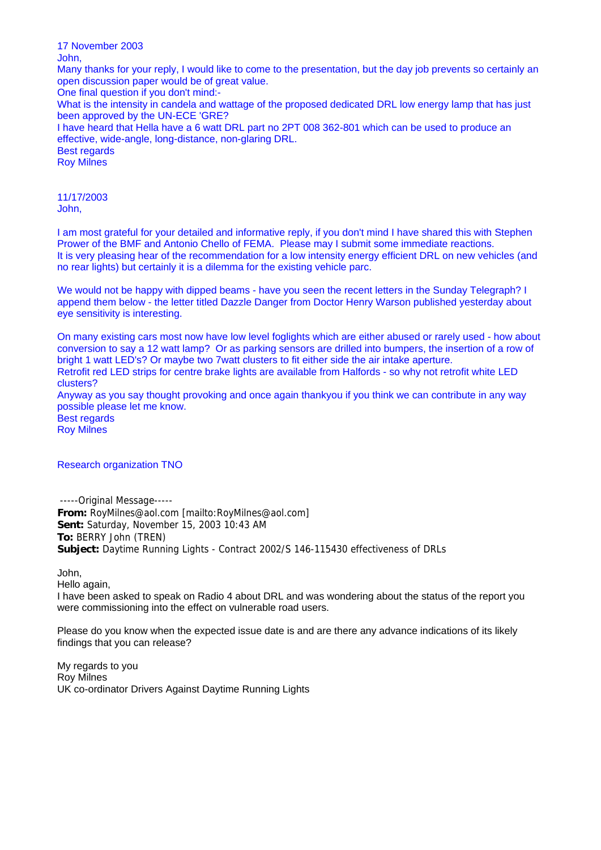17 November 2003 John, Many thanks for your reply, I would like to come to the presentation, but the day job prevents so certainly an open discussion paper would be of great value. One final question if you don't mind:- What is the intensity in candela and wattage of the proposed dedicated DRL low energy lamp that has just been approved by the UN-ECE 'GRE? I have heard that Hella have a 6 watt DRL part no 2PT 008 362-801 which can be used to produce an effective, wide-angle, long-distance, non-glaring DRL. Best regards Roy Milnes

11/17/2003 John,

I am most grateful for your detailed and informative reply, if you don't mind I have shared this with Stephen Prower of the BMF and Antonio Chello of FEMA. Please may I submit some immediate reactions. It is very pleasing hear of the recommendation for a low intensity energy efficient DRL on new vehicles (and no rear lights) but certainly it is a dilemma for the existing vehicle parc.

We would not be happy with dipped beams - have you seen the recent letters in the Sunday Telegraph? I append them below - the letter titled Dazzle Danger from Doctor Henry Warson published yesterday about eye sensitivity is interesting.

On many existing cars most now have low level foglights which are either abused or rarely used - how about conversion to say a 12 watt lamp? Or as parking sensors are drilled into bumpers, the insertion of a row of bright 1 watt LED's? Or maybe two 7watt clusters to fit either side the air intake aperture. Retrofit red LED strips for centre brake lights are available from Halfords - so why not retrofit white LED clusters? Anyway as you say thought provoking and once again thankyou if you think we can contribute in any way possible please let me know. Best regards Roy Milnes

Research organization TNO

-----Original Message----- **From:** RoyMilnes@aol.com [mailto:RoyMilnes@aol.com] **Sent:** Saturday, November 15, 2003 10:43 AM **To:** BERRY John (TREN) **Subject:** Daytime Running Lights - Contract 2002/S 146-115430 effectiveness of DRLs

John,

Hello again,

I have been asked to speak on Radio 4 about DRL and was wondering about the status of the report you were commissioning into the effect on vulnerable road users.

Please do you know when the expected issue date is and are there any advance indications of its likely findings that you can release?

My regards to you Roy Milnes UK co-ordinator Drivers Against Daytime Running Lights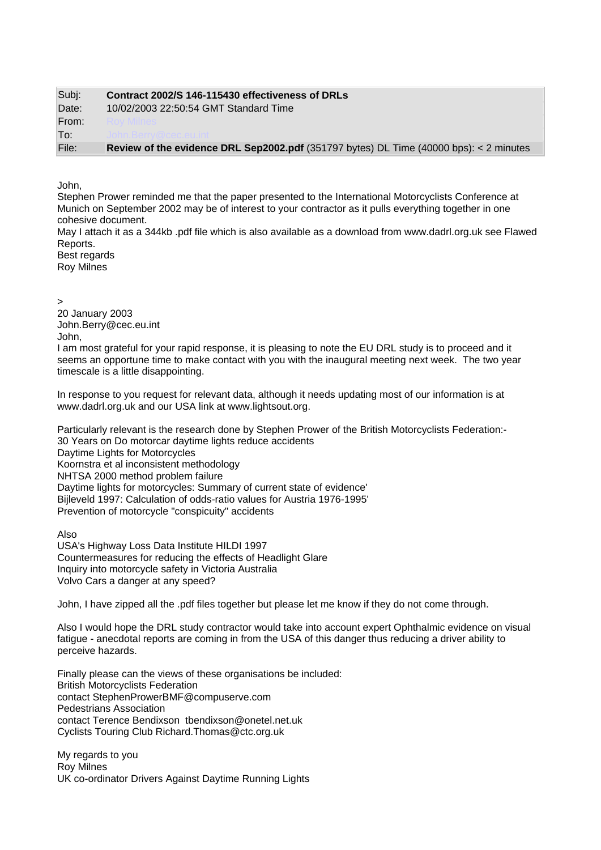| Subj: | Contract 2002/S 146-115430 effectiveness of DRLs                                                         |
|-------|----------------------------------------------------------------------------------------------------------|
| Date: | 10/02/2003 22:50:54 GMT Standard Time                                                                    |
| From: |                                                                                                          |
| To:   |                                                                                                          |
| File: | <b>Review of the evidence DRL Sep2002.pdf</b> (351797 bytes) DL Time $(40000 \text{ bps})$ : < 2 minutes |

John,

Stephen Prower reminded me that the paper presented to the International Motorcyclists Conference at Munich on September 2002 may be of interest to your contractor as it pulls everything together in one cohesive document.

May I attach it as a 344kb .pdf file which is also available as a download from www.dadrl.org.uk see Flawed Reports.

Best regards Roy Milnes

>

20 January 2003 [John.Berry@cec.eu.int](mailto:John.Berry@cec.eu.int) John,

I am most grateful for your rapid response, it is pleasing to note the EU DRL study is to proceed and it seems an opportune time to make contact with you with the inaugural meeting next week. The two year timescale is a little disappointing.

In response to you request for relevant data, although it needs updating most of our information is at www.dadrl.org.uk and our USA link at www.lightsout.org.

Particularly relevant is the research done by Stephen Prower of the British Motorcyclists Federation:- 30 Years on Do motorcar daytime lights reduce accidents Daytime Lights for Motorcycles Koornstra et al inconsistent methodology NHTSA 2000 method problem failure Daytime lights for motorcycles: Summary of current state of evidence' Bijleveld 1997: Calculation of odds-ratio values for Austria 1976-1995' Prevention of motorcycle "conspicuity" accidents

Also USA's Highway Loss Data Institute HILDI 1997 Countermeasures for reducing the effects of Headlight Glare Inquiry into motorcycle safety in Victoria Australia Volvo Cars a danger at any speed?

John, I have zipped all the .pdf files together but please let me know if they do not come through.

Also I would hope the DRL study contractor would take into account expert Ophthalmic evidence on visual fatigue - anecdotal reports are coming in from the USA of this danger thus reducing a driver ability to perceive hazards.

Finally please can the views of these organisations be included: British Motorcyclists Federation contact StephenProwerBMF@compuserve.com Pedestrians Association contact Terence Bendixson tbendixson@onetel.net.uk Cyclists Touring Club Richard.Thomas@ctc.org.uk

My regards to you Roy Milnes UK co-ordinator Drivers Against Daytime Running Lights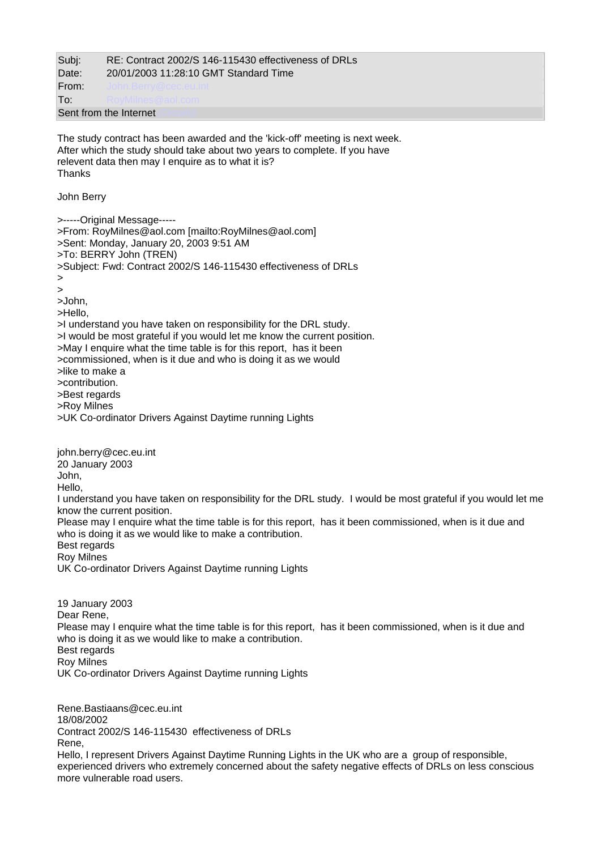Subj: RE: Contract 2002/S 146-115430 effectiveness of DRLs Date: 20/01/2003 11:28:10 GMT Standard Time From<sup>.</sup> **To:** [RoyMilnes@aol.com](mailto:RoyMilnes@aol.com)

Sent from the Internet

The study contract has been awarded and the 'kick-off' meeting is next week. After which the study should take about two years to complete. If you have relevent data then may I enquire as to what it is? **Thanks** 

John Berry

john.berry@cec.eu.int

>-----Original Message----- >From: RoyMilnes@aol.com [mailto:RoyMilnes@aol.com] >Sent: Monday, January 20, 2003 9:51 AM >To: BERRY John (TREN) >Subject: Fwd: Contract 2002/S 146-115430 effectiveness of DRLs > > >John, >Hello, >I understand you have taken on responsibility for the DRL study. >I would be most grateful if you would let me know the current position. >May I enquire what the time table is for this report, has it been >commissioned, when is it due and who is doing it as we would >like to make a >contribution. >Best regards >Roy Milnes >UK Co-ordinator Drivers Against Daytime running Lights

20 January 2003 John, Hello, I understand you have taken on responsibility for the DRL study. I would be most grateful if you would let me know the current position. Please may I enquire what the time table is for this report, has it been commissioned, when is it due and who is doing it as we would like to make a contribution. Best regards Roy Milnes UK Co-ordinator Drivers Against Daytime running Lights 19 January 2003 Dear Rene, Please may I enquire what the time table is for this report, has it been commissioned, when is it due and who is doing it as we would like to make a contribution. Best regards Roy Milnes UK Co-ordinator Drivers Against Daytime running Lights

Rene.Bastiaans@cec.eu.int 18/08/2002 Contract 2002/S 146-115430 effectiveness of DRLs Rene, Hello, I represent Drivers Against Daytime Running Lights in the UK who are a group of responsible, experienced drivers who extremely concerned about the safety negative effects of DRLs on less conscious more vulnerable road users.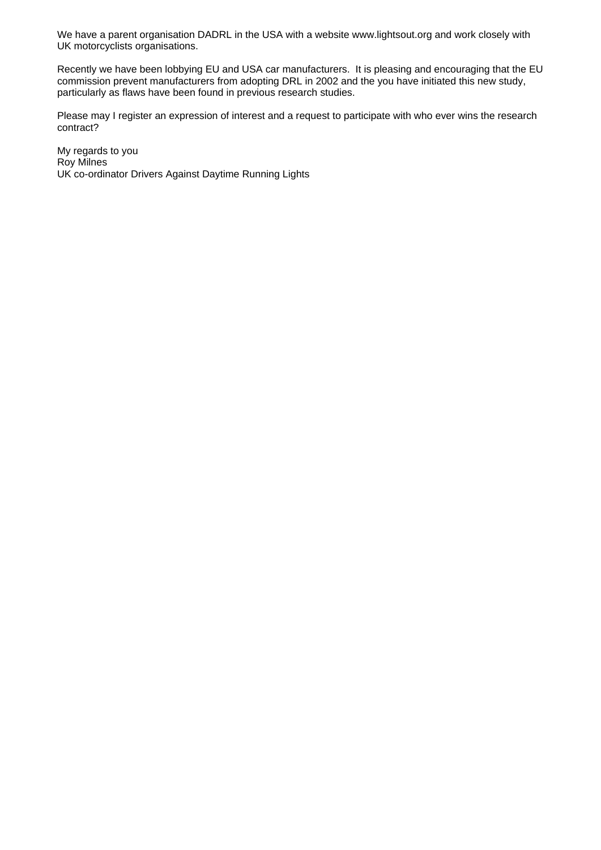We have a parent organisation DADRL in the USA with a website www.lightsout.org and work closely with UK motorcyclists organisations.

Recently we have been lobbying EU and USA car manufacturers. It is pleasing and encouraging that the EU commission prevent manufacturers from adopting DRL in 2002 and the you have initiated this new study, particularly as flaws have been found in previous research studies.

Please may I register an expression of interest and a request to participate with who ever wins the research contract?

My regards to you Roy Milnes UK co-ordinator Drivers Against Daytime Running Lights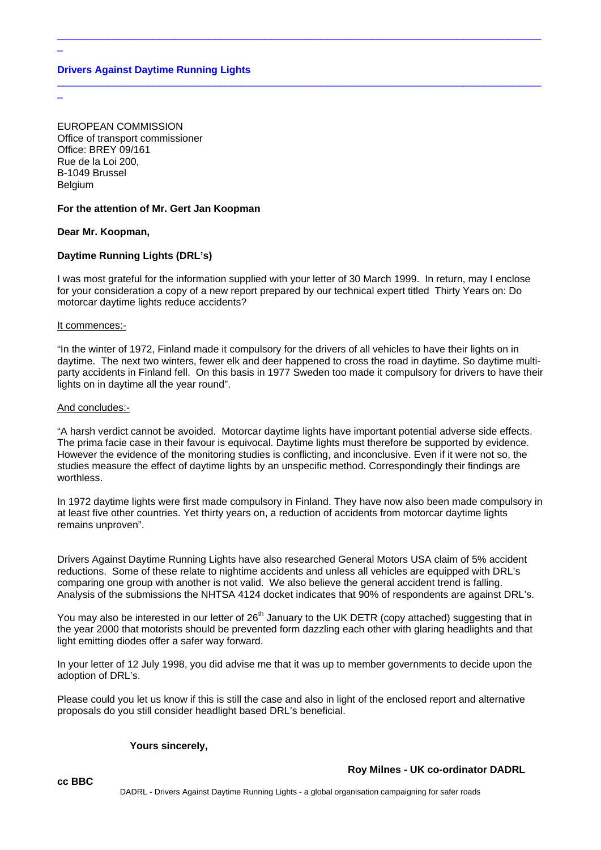# **Drivers Against Daytime Running Lights**

EUROPEAN COMMISSION Office of transport commissioner Office: BREY 09/161 Rue de la Loi 200, B-1049 Brussel Belgium

# **For the attention of Mr. Gert Jan Koopman**

# **Dear Mr. Koopman,**

\_

 $\overline{a}$ 

# **Daytime Running Lights (DRL's)**

I was most grateful for the information supplied with your letter of 30 March 1999. In return, may I enclose for your consideration a copy of a new report prepared by our technical expert titled Thirty Years on: Do motorcar daytime lights reduce accidents?

 $\_$  ,  $\_$  ,  $\_$  ,  $\_$  ,  $\_$  ,  $\_$  ,  $\_$  ,  $\_$  ,  $\_$  ,  $\_$  ,  $\_$  ,  $\_$  ,  $\_$  ,  $\_$  ,  $\_$  ,  $\_$  ,  $\_$  ,  $\_$  ,  $\_$  ,  $\_$  ,  $\_$  ,  $\_$  ,  $\_$  ,  $\_$  ,  $\_$  ,  $\_$  ,  $\_$  ,  $\_$  ,  $\_$  ,  $\_$  ,  $\_$  ,  $\_$  ,  $\_$  ,  $\_$  ,  $\_$  ,  $\_$  ,  $\_$  ,

\_\_\_\_\_\_\_\_\_\_\_\_\_\_\_\_\_\_\_\_\_\_\_\_\_\_\_\_\_\_\_\_\_\_\_\_\_\_\_\_\_\_\_\_\_\_\_\_\_\_\_\_\_\_\_\_\_\_\_\_\_\_\_\_\_\_\_\_\_\_\_\_\_\_\_\_\_\_\_\_\_\_\_\_\_\_

#### It commences:-

"In the winter of 1972, Finland made it compulsory for the drivers of all vehicles to have their lights on in daytime. The next two winters, fewer elk and deer happened to cross the road in daytime. So daytime multiparty accidents in Finland fell. On this basis in 1977 Sweden too made it compulsory for drivers to have their lights on in daytime all the year round".

#### And concludes:-

"A harsh verdict cannot be avoided. Motorcar daytime lights have important potential adverse side effects. The prima facie case in their favour is equivocal. Daytime lights must therefore be supported by evidence. However the evidence of the monitoring studies is conflicting, and inconclusive. Even if it were not so, the studies measure the effect of daytime lights by an unspecific method. Correspondingly their findings are worthless.

In 1972 daytime lights were first made compulsory in Finland. They have now also been made compulsory in at least five other countries. Yet thirty years on, a reduction of accidents from motorcar daytime lights remains unproven".

Drivers Against Daytime Running Lights have also researched General Motors USA claim of 5% accident reductions. Some of these relate to nightime accidents and unless all vehicles are equipped with DRL's comparing one group with another is not valid. We also believe the general accident trend is falling. Analysis of the submissions the NHTSA 4124 docket indicates that 90% of respondents are against DRL's.

You may also be interested in our letter of 26<sup>th</sup> January to the UK DETR (copy attached) suggesting that in the year 2000 that motorists should be prevented form dazzling each other with glaring headlights and that light emitting diodes offer a safer way forward.

In your letter of 12 July 1998, you did advise me that it was up to member governments to decide upon the adoption of DRL's.

Please could you let us know if this is still the case and also in light of the enclosed report and alternative proposals do you still consider headlight based DRL's beneficial.

#### **Yours sincerely,**

#### **Roy Milnes - UK co-ordinator DADRL**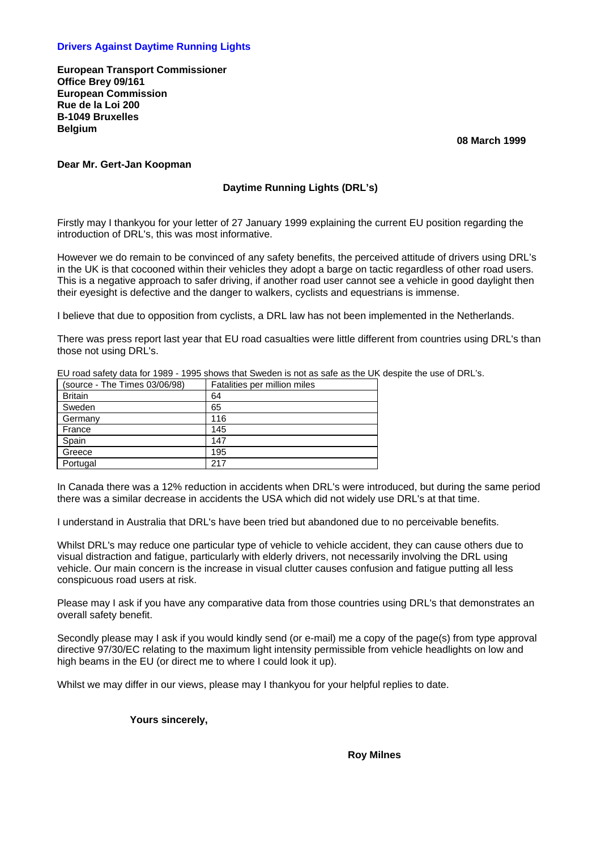# **Drivers Against Daytime Running Lights**

**European Transport Commissioner Office Brey 09/161 European Commission Rue de la Loi 200 B-1049 Bruxelles Belgium** 

 **08 March 1999** 

#### **Dear Mr. Gert-Jan Koopman**

# **Daytime Running Lights (DRL's)**

Firstly may I thankyou for your letter of 27 January 1999 explaining the current EU position regarding the introduction of DRL's, this was most informative.

However we do remain to be convinced of any safety benefits, the perceived attitude of drivers using DRL's in the UK is that cocooned within their vehicles they adopt a barge on tactic regardless of other road users. This is a negative approach to safer driving, if another road user cannot see a vehicle in good daylight then their eyesight is defective and the danger to walkers, cyclists and equestrians is immense.

I believe that due to opposition from cyclists, a DRL law has not been implemented in the Netherlands.

There was press report last year that EU road casualties were little different from countries using DRL's than those not using DRL's.

EU road safety data for 1989 - 1995 shows that Sweden is not as safe as the UK despite the use of DRL's.

| (source - The Times 03/06/98) | Fatalities per million miles |
|-------------------------------|------------------------------|
| <b>Britain</b>                | 64                           |
| Sweden                        | 65                           |
| Germany                       | 116                          |
| France                        | 145                          |
| Spain                         | 147                          |
| Greece                        | 195                          |
| Portugal                      | 217                          |

In Canada there was a 12% reduction in accidents when DRL's were introduced, but during the same period there was a similar decrease in accidents the USA which did not widely use DRL's at that time.

I understand in Australia that DRL's have been tried but abandoned due to no perceivable benefits.

Whilst DRL's may reduce one particular type of vehicle to vehicle accident, they can cause others due to visual distraction and fatigue, particularly with elderly drivers, not necessarily involving the DRL using vehicle. Our main concern is the increase in visual clutter causes confusion and fatigue putting all less conspicuous road users at risk.

Please may I ask if you have any comparative data from those countries using DRL's that demonstrates an overall safety benefit.

Secondly please may I ask if you would kindly send (or e-mail) me a copy of the page(s) from type approval directive 97/30/EC relating to the maximum light intensity permissible from vehicle headlights on low and high beams in the EU (or direct me to where I could look it up).

Whilst we may differ in our views, please may I thankyou for your helpful replies to date.

 **Yours sincerely,** 

 **Roy Milnes**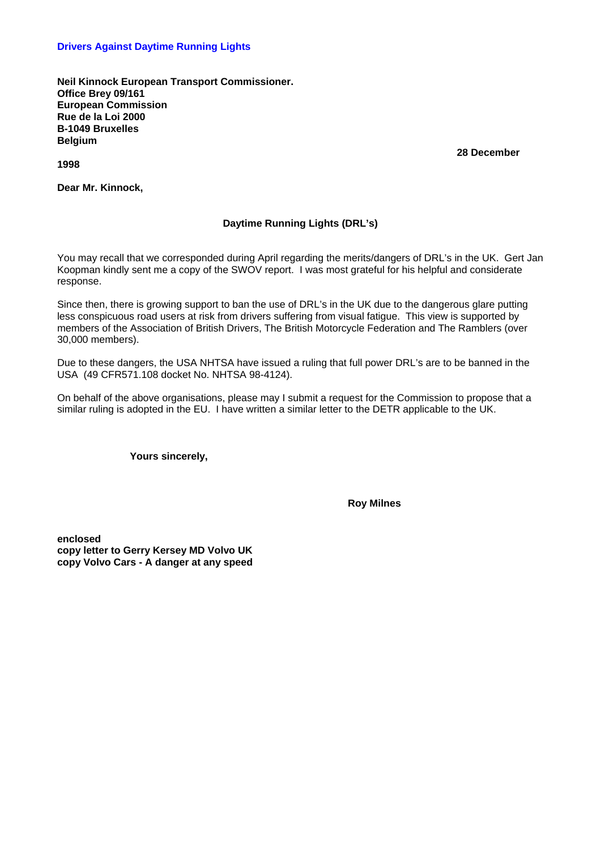### **Drivers Against Daytime Running Lights**

**Neil Kinnock European Transport Commissioner. Office Brey 09/161 European Commission Rue de la Loi 2000 B-1049 Bruxelles Belgium** 

**1998** 

**Dear Mr. Kinnock,** 

# **Daytime Running Lights (DRL's)**

You may recall that we corresponded during April regarding the merits/dangers of DRL's in the UK. Gert Jan Koopman kindly sent me a copy of the SWOV report. I was most grateful for his helpful and considerate response.

Since then, there is growing support to ban the use of DRL's in the UK due to the dangerous glare putting less conspicuous road users at risk from drivers suffering from visual fatigue. This view is supported by members of the Association of British Drivers, The British Motorcycle Federation and The Ramblers (over 30,000 members).

Due to these dangers, the USA NHTSA have issued a ruling that full power DRL's are to be banned in the USA (49 CFR571.108 docket No. NHTSA 98-4124).

On behalf of the above organisations, please may I submit a request for the Commission to propose that a similar ruling is adopted in the EU. I have written a similar letter to the DETR applicable to the UK.

 **Yours sincerely,** 

 **Roy Milnes** 

**enclosed copy letter to Gerry Kersey MD Volvo UK copy Volvo Cars - A danger at any speed**   **28 December**